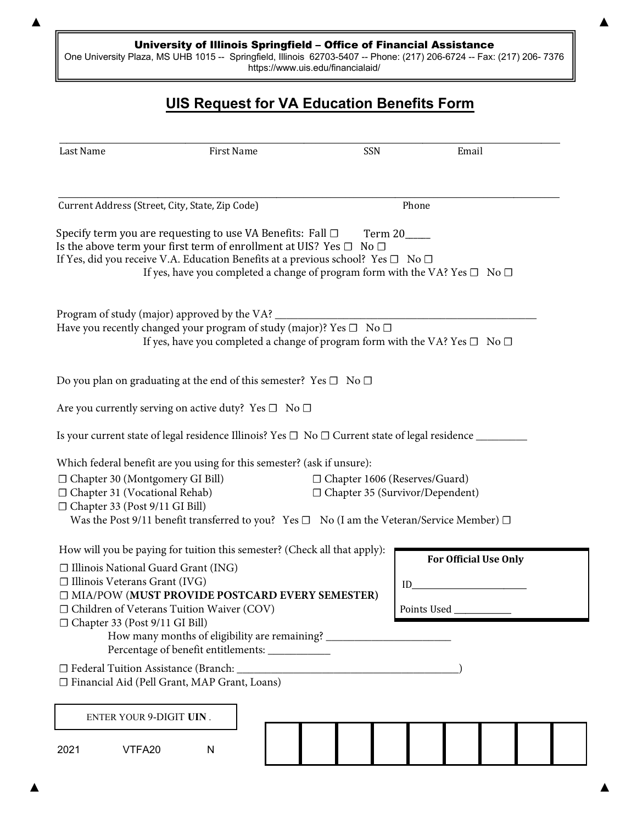## University of Illinois Springfield – Office of Financial Assistance

One University Plaza, MS UHB 1015 -- Springfield, Illinois 62703-5407 -- Phone: (217) 206-6724 -- Fax: (217) 206- 7376 <https://www.uis.edu/financialaid/>

## **UIS Request for VA Education Benefits Form**

| Last Name                                                                                                | First Name                                                                                                                                                                                                                                                                                                                                           | SSN                                                                       | Email                                                   |
|----------------------------------------------------------------------------------------------------------|------------------------------------------------------------------------------------------------------------------------------------------------------------------------------------------------------------------------------------------------------------------------------------------------------------------------------------------------------|---------------------------------------------------------------------------|---------------------------------------------------------|
|                                                                                                          | Current Address (Street, City, State, Zip Code)                                                                                                                                                                                                                                                                                                      | Phone                                                                     |                                                         |
|                                                                                                          | Specify term you are requesting to use VA Benefits: Fall $\Box$<br>Is the above term your first term of enrollment at UIS? Yes $\Box$ No $\Box$<br>If Yes, did you receive V.A. Education Benefits at a previous school? Yes $\square$ No $\square$<br>If yes, have you completed a change of program form with the VA? Yes $\square$ No $\square$   | Term 20_____                                                              |                                                         |
|                                                                                                          | Program of study (major) approved by the VA?<br>Have you recently changed your program of study (major)? Yes $\square$ No $\square$<br>If yes, have you completed a change of program form with the VA? Yes $\Box$ No $\Box$                                                                                                                         |                                                                           |                                                         |
|                                                                                                          | Do you plan on graduating at the end of this semester? Yes $\square$ No $\square$                                                                                                                                                                                                                                                                    |                                                                           |                                                         |
|                                                                                                          | Are you currently serving on active duty? Yes $\square$ No $\square$                                                                                                                                                                                                                                                                                 |                                                                           |                                                         |
|                                                                                                          | Is your current state of legal residence Illinois? Yes □ No □ Current state of legal residence ____                                                                                                                                                                                                                                                  |                                                                           |                                                         |
| □ Chapter 30 (Montgomery GI Bill)<br>□ Chapter 31 (Vocational Rehab)<br>□ Chapter 33 (Post 9/11 GI Bill) | Which federal benefit are you using for this semester? (ask if unsure):<br>Was the Post 9/11 benefit transferred to you? Yes $\Box$ No (I am the Veteran/Service Member) $\Box$                                                                                                                                                                      | □ Chapter 1606 (Reserves/Guard)<br>$\Box$ Chapter 35 (Survivor/Dependent) |                                                         |
| $\Box$ Illinois Veterans Grant (IVG)<br>□ Chapter 33 (Post 9/11 GI Bill)                                 | How will you be paying for tuition this semester? (Check all that apply):<br>□ Illinois National Guard Grant (ING)<br><b>ID MIA/POW (MUST PROVIDE POSTCARD EVERY SEMESTER)</b><br>$\Box$ Children of Veterans Tuition Waiver (COV)<br>How many months of eligibility are remaining? _____________<br>Percentage of benefit entitlements: ___________ | ID                                                                        | <b>For Official Use Only</b><br>Points Used ___________ |
|                                                                                                          | □ Federal Tuition Assistance (Branch: _<br>□ Financial Aid (Pell Grant, MAP Grant, Loans)                                                                                                                                                                                                                                                            |                                                                           |                                                         |
|                                                                                                          | <b>ENTER YOUR 9-DIGIT UIN.</b>                                                                                                                                                                                                                                                                                                                       |                                                                           |                                                         |
| 2021<br>VTFA20                                                                                           | ${\sf N}$                                                                                                                                                                                                                                                                                                                                            |                                                                           |                                                         |